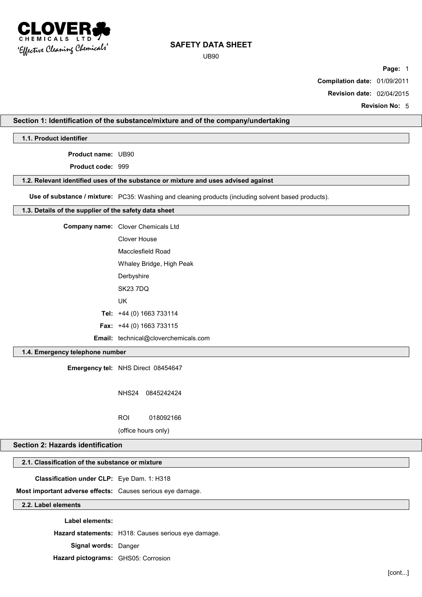

UB90

**Page:** 1

**Compilation date:** 01/09/2011

**Revision date:** 02/04/2015

**Revision No:** 5

# **Section 1: Identification of the substance/mixture and of the company/undertaking**

**1.1. Product identifier**

**Product name:** UB90

**Product code:** 999

### **1.2. Relevant identified uses of the substance or mixture and uses advised against**

**Use of substance / mixture:** PC35: Washing and cleaning products (including solvent based products).

### **1.3. Details of the supplier of the safety data sheet**

| <b>Company name:</b> Clover Chemicals Ltd   |
|---------------------------------------------|
| Clover House                                |
| Macclesfield Road                           |
| Whaley Bridge, High Peak                    |
| Derbyshire                                  |
| <b>SK23 7DQ</b>                             |
| UK                                          |
| Tel: $+44$ (0) 1663 733114                  |
| <b>Fax:</b> $+44$ (0) 1663 733115           |
| <b>Email:</b> technical@cloverchemicals.com |

## **1.4. Emergency telephone number**

**Emergency tel:** NHS Direct 08454647

NHS24 0845242424

ROI 018092166

(office hours only)

# **Section 2: Hazards identification**

# **2.1. Classification of the substance or mixture**

**Classification under CLP:** Eye Dam. 1: H318

**Most important adverse effects:** Causes serious eye damage.

# **2.2. Label elements**

**Label elements:**

**Hazard statements:** H318: Causes serious eye damage.

**Signal words:** Danger

**Hazard pictograms:** GHS05: Corrosion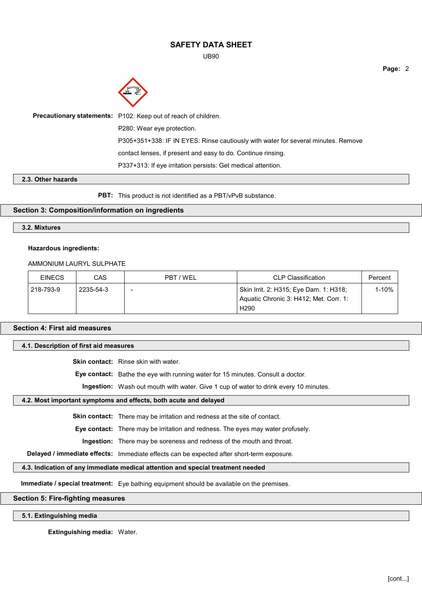UB90

**Page:** 2



| Precautionary statements: P102: Keep out of reach of children.                    |
|-----------------------------------------------------------------------------------|
| P280: Wear eye protection.                                                        |
| P305+351+338: IF IN EYES: Rinse cautiously with water for several minutes. Remove |
| contact lenses, if present and easy to do. Continue rinsing.                      |
| P337+313: If eye irritation persists: Get medical attention.                      |

### **2.3. Other hazards**

**PBT:** This product is not identified as a PBT/vPvB substance.

### **Section 3: Composition/information on ingredients**

### **3.2. Mixtures**

#### **Hazardous ingredients:**

### AMMONIUM LAURYL SULPHATE

| <b>EINECS</b> | CAS       | PBT / WEL                | <b>CLP Classification</b>                                                        | Percent |
|---------------|-----------|--------------------------|----------------------------------------------------------------------------------|---------|
| 218-793-9     | 2235-54-3 | $\overline{\phantom{0}}$ | Skin Irrit. 2: H315; Eye Dam. 1: H318;<br>Aquatic Chronic 3: H412; Met. Corr. 1: | 1-10%   |
|               |           |                          | H <sub>290</sub>                                                                 |         |

## **Section 4: First aid measures**

### **4.1. Description of first aid measures**

**Skin contact:** Rinse skin with water.

**Eye contact:** Bathe the eye with running water for 15 minutes. Consult a doctor.

**Ingestion:** Wash out mouth with water. Give 1 cup of water to drink every 10 minutes.

### **4.2. Most important symptoms and effects, both acute and delayed**

**Skin contact:** There may be irritation and redness at the site of contact.

**Eye contact:** There may be irritation and redness. The eyes may water profusely.

**Ingestion:** There may be soreness and redness of the mouth and throat.

**Delayed / immediate effects:** Immediate effects can be expected after short-term exposure.

### **4.3. Indication of any immediate medical attention and special treatment needed**

**Immediate / special treatment:** Eye bathing equipment should be available on the premises.

## **Section 5: Fire-fighting measures**

# **5.1. Extinguishing media**

**Extinguishing media:** Water.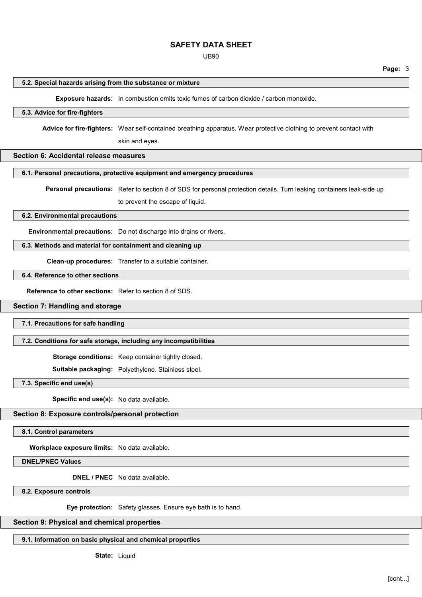UB90

**Page:** 3

#### **5.2. Special hazards arising from the substance or mixture**

**Exposure hazards:** In combustion emits toxic fumes of carbon dioxide / carbon monoxide.

# **5.3. Advice for fire-fighters**

**Advice for fire-fighters:** Wear self-contained breathing apparatus. Wear protective clothing to prevent contact with

skin and eyes.

## **Section 6: Accidental release measures**

#### **6.1. Personal precautions, protective equipment and emergency procedures**

**Personal precautions:** Refer to section 8 of SDS for personal protection details. Turn leaking containers leak-side up

to prevent the escape of liquid.

## **6.2. Environmental precautions**

**Environmental precautions:** Do not discharge into drains or rivers.

# **6.3. Methods and material for containment and cleaning up**

**Clean-up procedures:** Transfer to a suitable container.

# **6.4. Reference to other sections**

**Reference to other sections:** Refer to section 8 of SDS.

## **Section 7: Handling and storage**

**7.1. Precautions for safe handling**

### **7.2. Conditions for safe storage, including any incompatibilities**

**Storage conditions:** Keep container tightly closed.

**Suitable packaging:** Polyethylene. Stainless steel.

**7.3. Specific end use(s)**

**Specific end use(s):** No data available.

### **Section 8: Exposure controls/personal protection**

**8.1. Control parameters**

**Workplace exposure limits:** No data available.

**DNEL/PNEC Values**

**DNEL / PNEC** No data available.

**8.2. Exposure controls**

**Eye protection:** Safety glasses. Ensure eye bath is to hand.

### **Section 9: Physical and chemical properties**

**9.1. Information on basic physical and chemical properties**

**State:** Liquid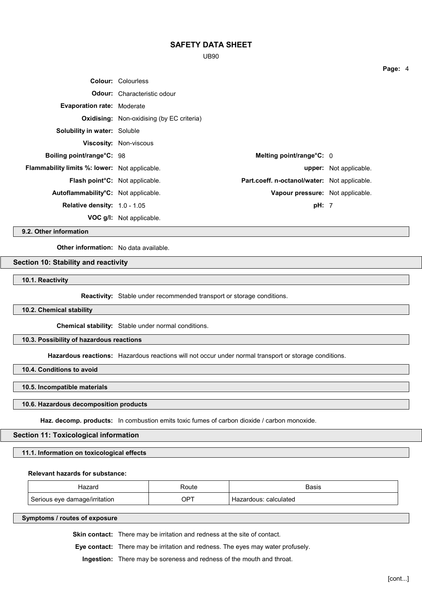UB90

|                                                      | <b>Colour: Colourless</b>                        |                                              |                               |
|------------------------------------------------------|--------------------------------------------------|----------------------------------------------|-------------------------------|
|                                                      | <b>Odour:</b> Characteristic odour               |                                              |                               |
| <b>Evaporation rate: Moderate</b>                    |                                                  |                                              |                               |
|                                                      | <b>Oxidising:</b> Non-oxidising (by EC criteria) |                                              |                               |
| <b>Solubility in water: Soluble</b>                  |                                                  |                                              |                               |
|                                                      | <b>Viscosity: Non-viscous</b>                    |                                              |                               |
| Boiling point/range°C: 98                            |                                                  | Melting point/range°C: 0                     |                               |
| <b>Flammability limits %: lower:</b> Not applicable. |                                                  |                                              | <b>upper:</b> Not applicable. |
| <b>Flash point<sup>°</sup>C:</b> Not applicable.     |                                                  | Part.coeff. n-octanol/water: Not applicable. |                               |
| Autoflammability°C: Not applicable.                  |                                                  | Vapour pressure: Not applicable.             |                               |
| <b>Relative density:</b> $1.0 - 1.05$                |                                                  | pH: 7                                        |                               |
|                                                      | <b>VOC g/l:</b> Not applicable.                  |                                              |                               |

**9.2. Other information**

**Other information:** No data available.

# **Section 10: Stability and reactivity**

**10.1. Reactivity**

**Reactivity:** Stable under recommended transport or storage conditions.

**10.2. Chemical stability**

**Chemical stability:** Stable under normal conditions.

## **10.3. Possibility of hazardous reactions**

**Hazardous reactions:** Hazardous reactions will not occur under normal transport or storage conditions.

**10.4. Conditions to avoid**

**10.5. Incompatible materials**

### **10.6. Hazardous decomposition products**

**Haz. decomp. products:** In combustion emits toxic fumes of carbon dioxide / carbon monoxide.

## **Section 11: Toxicological information**

**11.1. Information on toxicological effects**

#### **Relevant hazards for substance:**

|                                     | ⊟יוורי      | הוכוס<br>.       |
|-------------------------------------|-------------|------------------|
| damage/irritation<br>Serious<br>eve | $OP^{\tau}$ | calculated<br>aн |

**Symptoms / routes of exposure**

**Skin contact:** There may be irritation and redness at the site of contact.

**Eye contact:** There may be irritation and redness. The eyes may water profusely.

**Ingestion:** There may be soreness and redness of the mouth and throat.

**Page:** 4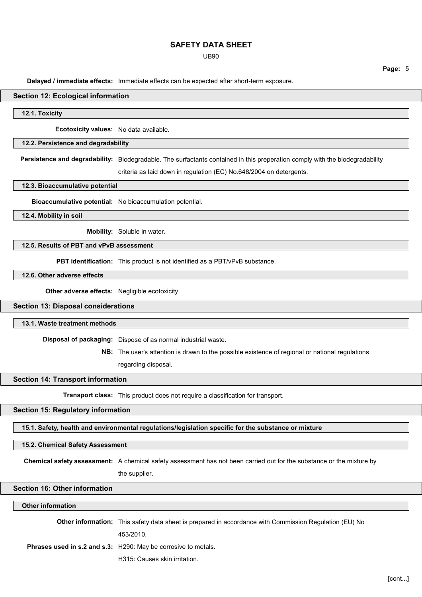UB90

**Page:** 5

**Delayed / immediate effects:** Immediate effects can be expected after short-term exposure.

### **Section 12: Ecological information**

**12.1. Toxicity**

**Ecotoxicity values:** No data available.

## **12.2. Persistence and degradability**

**Persistence and degradability:** Biodegradable. The surfactants contained in this preperation comply with the biodegradability

criteria as laid down in regulation (EC) No.648/2004 on detergents.

**12.3. Bioaccumulative potential**

**Bioaccumulative potential:** No bioaccumulation potential.

**12.4. Mobility in soil**

**Mobility:** Soluble in water.

# **12.5. Results of PBT and vPvB assessment**

**PBT identification:** This product is not identified as a PBT/vPvB substance.

# **12.6. Other adverse effects**

**Other adverse effects:** Negligible ecotoxicity.

# **Section 13: Disposal considerations**

### **13.1. Waste treatment methods**

**Disposal of packaging:** Dispose of as normal industrial waste.

**NB:** The user's attention is drawn to the possible existence of regional or national regulations

regarding disposal.

### **Section 14: Transport information**

**Transport class:** This product does not require a classification for transport.

#### **Section 15: Regulatory information**

**15.1. Safety, health and environmental regulations/legislation specific for the substance or mixture**

#### **15.2. Chemical Safety Assessment**

**Chemical safety assessment:** A chemical safety assessment has not been carried out for the substance or the mixture by

the supplier.

## **Section 16: Other information**

#### **Other information**

| <b>Other information:</b> This safety data sheet is prepared in accordance with Commission Regulation (EU) No |  |
|---------------------------------------------------------------------------------------------------------------|--|
| 453/2010.                                                                                                     |  |
| Phrases used in s.2 and s.3: H290: May be corrosive to metals.                                                |  |
| H315: Causes skin irritation.                                                                                 |  |